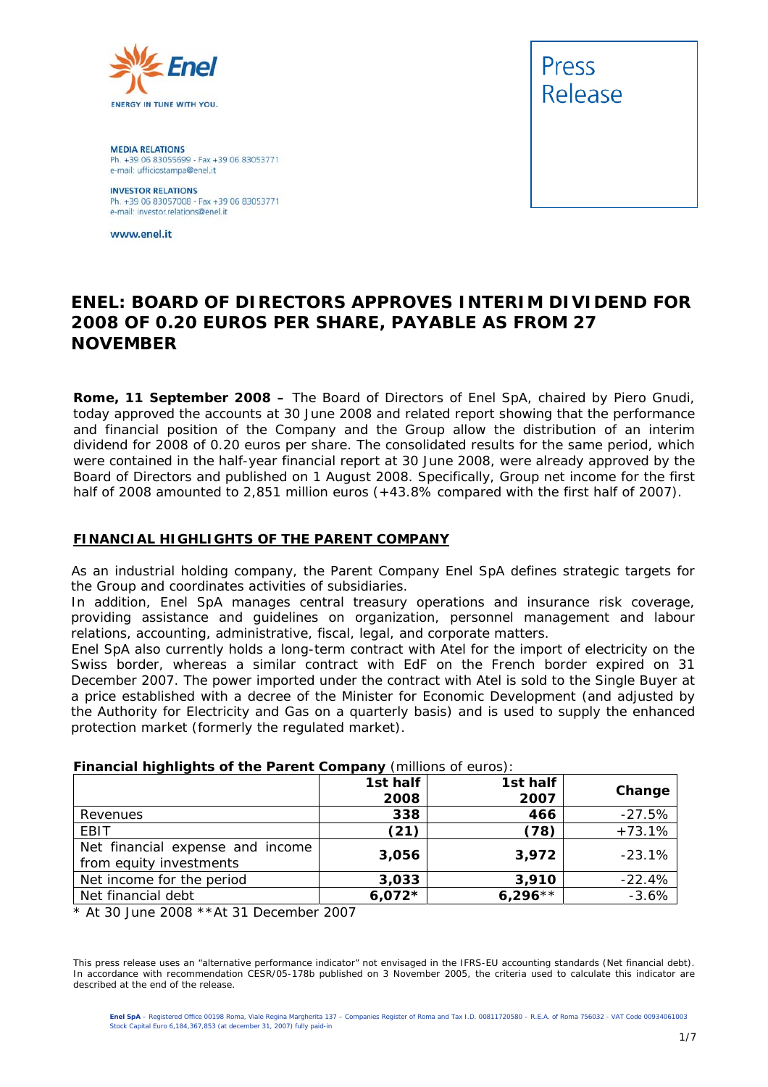

**MEDIA RELATIONS** Ph. +39 06 83055699 - Fax +39 06 83053771 e-mail: ufficiostampa@enel.it

**INVESTOR RELATIONS**<br>Ph. +39 06 83057008 - Fax +39 06 83053771 e-mail: investor.relations@enel.it

www.enel.it



### **ENEL: BOARD OF DIRECTORS APPROVES INTERIM DIVIDEND FOR 2008 OF 0.20 EUROS PER SHARE, PAYABLE AS FROM 27 NOVEMBER**

**Rome, 11 September 2008 –** The Board of Directors of Enel SpA, chaired by Piero Gnudi, today approved the accounts at 30 June 2008 and related report showing that the performance and financial position of the Company and the Group allow the distribution of an interim dividend for 2008 of 0.20 euros per share. The consolidated results for the same period, which were contained in the half-year financial report at 30 June 2008, were already approved by the Board of Directors and published on 1 August 2008. Specifically, Group net income for the first half of 2008 amounted to 2,851 million euros (+43.8% compared with the first half of 2007).

### **FINANCIAL HIGHLIGHTS OF THE PARENT COMPANY**

As an industrial holding company, the Parent Company Enel SpA defines strategic targets for the Group and coordinates activities of subsidiaries.

In addition, Enel SpA manages central treasury operations and insurance risk coverage, providing assistance and guidelines on organization, personnel management and labour relations, accounting, administrative, fiscal, legal, and corporate matters.

Enel SpA also currently holds a long-term contract with Atel for the import of electricity on the Swiss border, whereas a similar contract with EdF on the French border expired on 31 December 2007. The power imported under the contract with Atel is sold to the Single Buyer at a price established with a decree of the Minister for Economic Development (and adjusted by the Authority for Electricity and Gas on a quarterly basis) and is used to supply the enhanced protection market (formerly the regulated market).

| <b>Financial nightights of the Parent Company</b> (infinitions of editos). |          |           |          |  |  |  |
|----------------------------------------------------------------------------|----------|-----------|----------|--|--|--|
|                                                                            | 1st half | 1st half  | Change   |  |  |  |
|                                                                            | 2008     | 2007      |          |  |  |  |
| Revenues                                                                   | 338      | 466       | $-27.5%$ |  |  |  |
| EBIT                                                                       | (21)     | (78)      | $+73.1%$ |  |  |  |
| Net financial expense and income                                           | 3,056    | 3,972     | $-23.1%$ |  |  |  |
| from equity investments                                                    |          |           |          |  |  |  |
| Net income for the period                                                  | 3,033    | 3,910     | $-22.4%$ |  |  |  |
| Net financial debt                                                         | $6,072*$ | $6,296**$ | $-3.6%$  |  |  |  |

### **Financial highlights of the Parent Company** (millions of euros):

*\* At 30 June 2008 \*\*At 31 December 2007* 

This press release uses an "alternative performance indicator" not envisaged in the IFRS-EU accounting standards (Net financial debt). In accordance with recommendation CESR/05-178b published on 3 November 2005, the criteria used to calculate this indicator are described at the end of the release.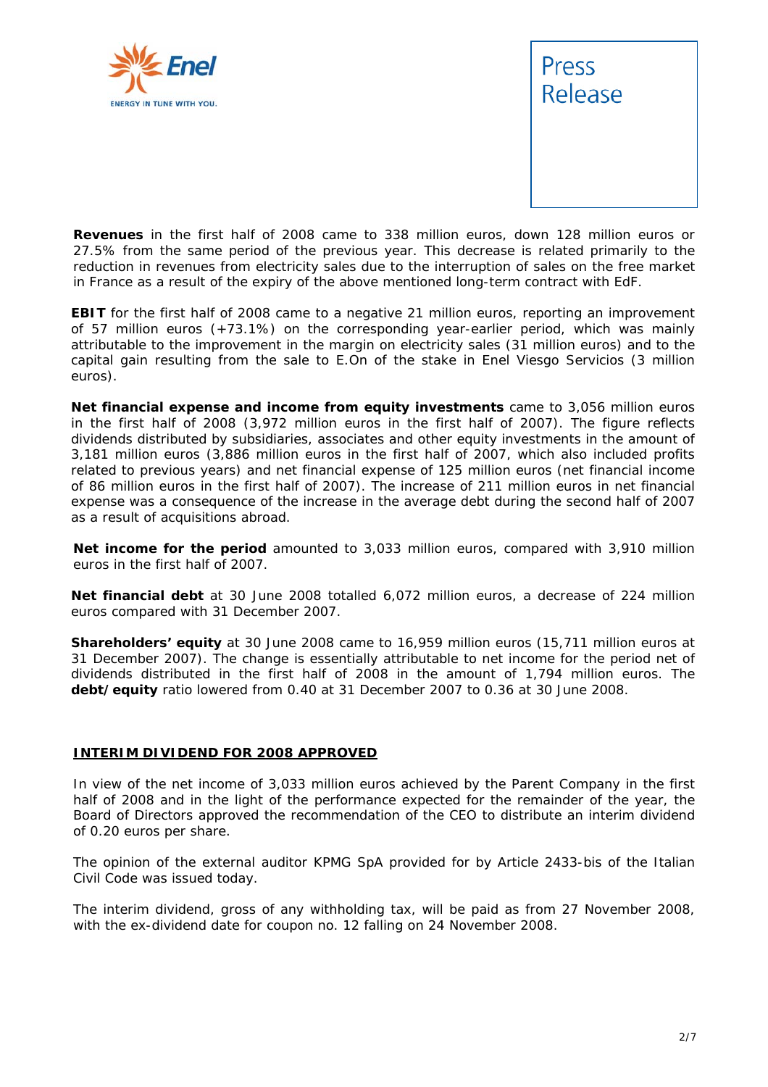



**Revenues** in the first half of 2008 came to 338 million euros, down 128 million euros or 27.5% from the same period of the previous year. This decrease is related primarily to the reduction in revenues from electricity sales due to the interruption of sales on the free market in France as a result of the expiry of the above mentioned long-term contract with EdF.

**EBIT** for the first half of 2008 came to a negative 21 million euros, reporting an improvement of 57 million euros (+73.1%) on the corresponding year-earlier period, which was mainly attributable to the improvement in the margin on electricity sales (31 million euros) and to the capital gain resulting from the sale to E.On of the stake in Enel Viesgo Servicios (3 million euros).

**Net financial expense and income from equity investments** came to 3,056 million euros in the first half of 2008 (3,972 million euros in the first half of 2007). The figure reflects dividends distributed by subsidiaries, associates and other equity investments in the amount of 3,181 million euros (3,886 million euros in the first half of 2007, which also included profits related to previous years) and net financial expense of 125 million euros (net financial income of 86 million euros in the first half of 2007). The increase of 211 million euros in net financial expense was a consequence of the increase in the average debt during the second half of 2007 as a result of acquisitions abroad.

**Net income for the period** amounted to 3,033 million euros, compared with 3,910 million euros in the first half of 2007.

**Net financial debt** at 30 June 2008 totalled 6,072 million euros, a decrease of 224 million euros compared with 31 December 2007.

**Shareholders' equity** at 30 June 2008 came to 16,959 million euros (15,711 million euros at 31 December 2007). The change is essentially attributable to net income for the period net of dividends distributed in the first half of 2008 in the amount of 1,794 million euros. The **debt/equity** ratio lowered from 0.40 at 31 December 2007 to 0.36 at 30 June 2008.

### **INTERIM DIVIDEND FOR 2008 APPROVED**

In view of the net income of 3,033 million euros achieved by the Parent Company in the first half of 2008 and in the light of the performance expected for the remainder of the year, the Board of Directors approved the recommendation of the CEO to distribute an interim dividend of 0.20 euros per share.

The opinion of the external auditor KPMG SpA provided for by Article 2433-*bis* of the Italian Civil Code was issued today.

The interim dividend, gross of any withholding tax, will be paid as from 27 November 2008, with the ex-dividend date for coupon no. 12 falling on 24 November 2008.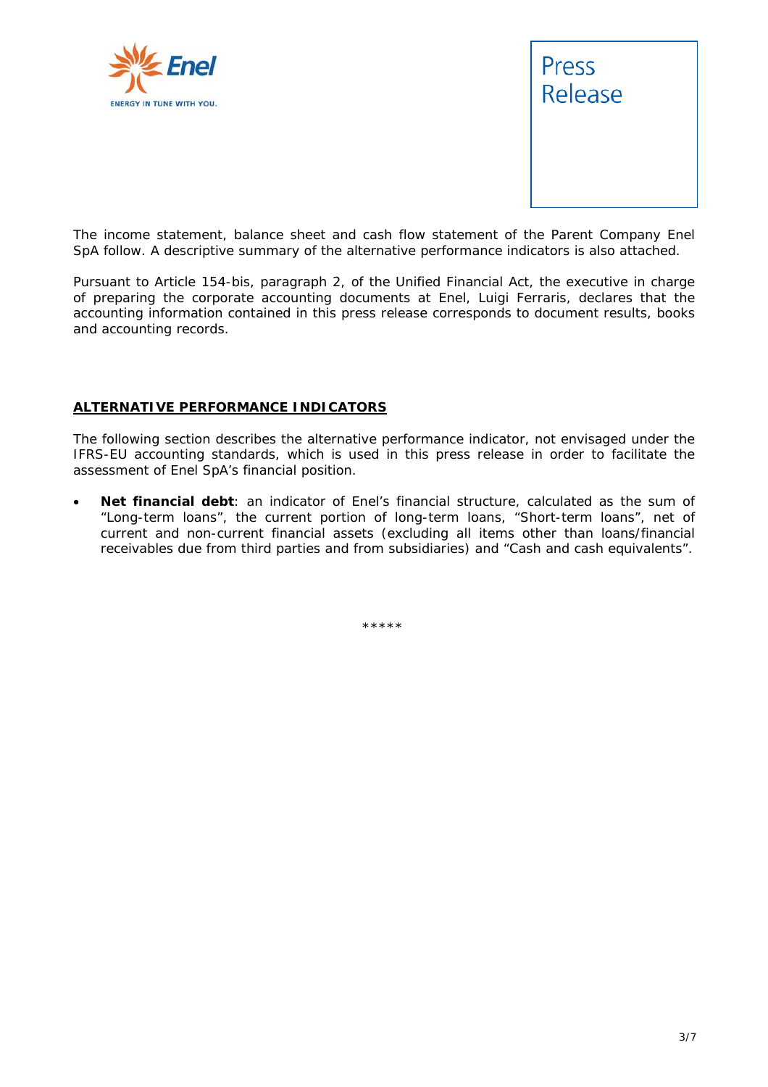



*The income statement, balance sheet and cash flow statement of the Parent Company Enel SpA follow. A descriptive summary of the alternative performance indicators is also attached.* 

*Pursuant to Article 154-bis, paragraph 2, of the Unified Financial Act, the executive in charge of preparing the corporate accounting documents at Enel, Luigi Ferraris, declares that the accounting information contained in this press release corresponds to document results, books and accounting records.* 

### **ALTERNATIVE PERFORMANCE INDICATORS**

The following section describes the alternative performance indicator, not envisaged under the IFRS-EU accounting standards, which is used in this press release in order to facilitate the assessment of Enel SpA's financial position.

• **Net financial debt**: an indicator of Enel's financial structure, calculated as the sum of "Long-term loans", the current portion of long-term loans, "Short-term loans", net of current and non-current financial assets (excluding all items other than loans/financial receivables due from third parties and from subsidiaries) and "Cash and cash equivalents".

\*\*\*\*\*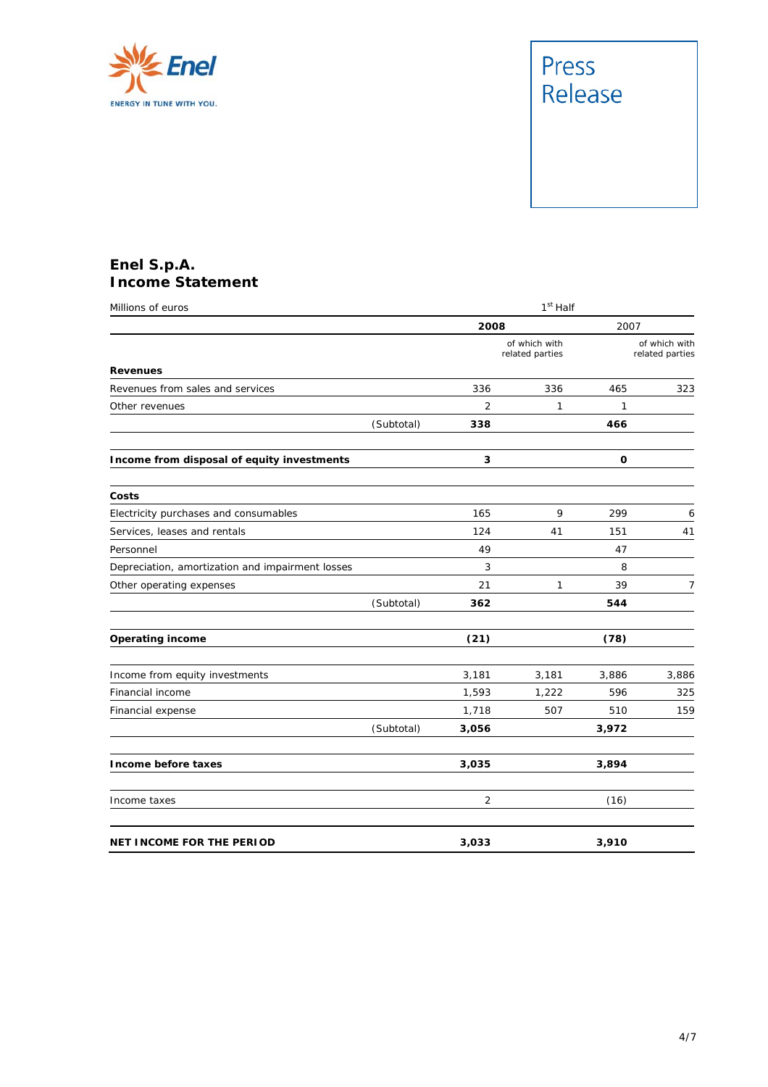

### **Enel S.p.A. Income Statement**

| Millions of euros                                | 1 <sup>st</sup> Half |                |                                  |       |                                  |
|--------------------------------------------------|----------------------|----------------|----------------------------------|-------|----------------------------------|
|                                                  |                      | 2008           |                                  | 2007  |                                  |
|                                                  |                      |                | of which with<br>related parties |       | of which with<br>related parties |
| <b>Revenues</b>                                  |                      |                |                                  |       |                                  |
| Revenues from sales and services                 |                      | 336            | 336                              | 465   | 323                              |
| Other revenues                                   |                      | $\overline{2}$ | 1                                | 1     |                                  |
|                                                  | (Subtotal)           | 338            |                                  | 466   |                                  |
| Income from disposal of equity investments       |                      | 3              |                                  | 0     |                                  |
| Costs                                            |                      |                |                                  |       |                                  |
| Electricity purchases and consumables            |                      | 165            | 9                                | 299   | 6                                |
| Services, leases and rentals                     |                      | 124            | 41                               | 151   | 41                               |
| Personnel                                        |                      | 49             |                                  | 47    |                                  |
| Depreciation, amortization and impairment losses |                      | 3              |                                  | 8     |                                  |
| Other operating expenses                         |                      | 21             | $\mathcal{I}$                    | 39    | 7                                |
|                                                  | (Subtotal)           | 362            |                                  | 544   |                                  |
| <b>Operating income</b>                          |                      | (21)           |                                  | (78)  |                                  |
| Income from equity investments                   |                      | 3,181          | 3,181                            | 3,886 | 3,886                            |
| Financial income                                 |                      | 1,593          | 1,222                            | 596   | 325                              |
| Financial expense                                |                      | 1,718          | 507                              | 510   | 159                              |
|                                                  | (Subtotal)           | 3,056          |                                  | 3,972 |                                  |
| Income before taxes                              |                      | 3,035          |                                  | 3,894 |                                  |
| Income taxes                                     |                      | 2              |                                  | (16)  |                                  |
| NET INCOME FOR THE PERIOD                        |                      | 3,033          |                                  | 3,910 |                                  |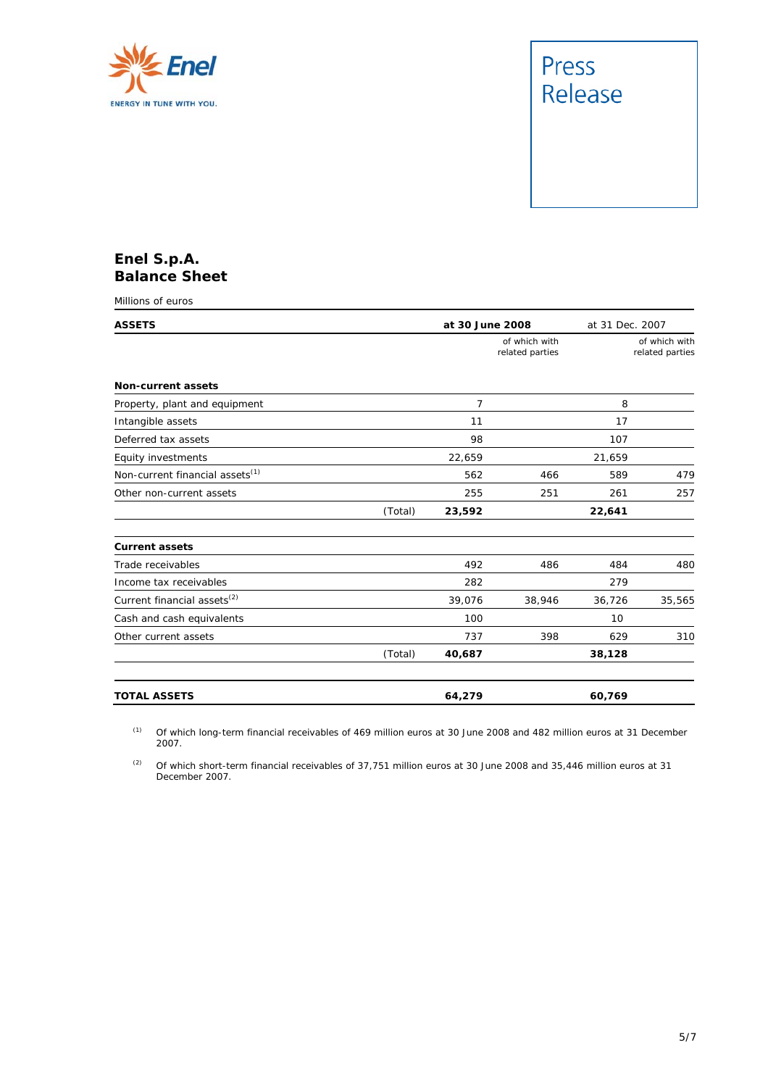

### **Enel S.p.A. Balance Sheet**

Millions of euros

| <b>ASSETS</b>                               |         | at 30 June 2008 |                                  | at 31 Dec. 2007 |                                  |
|---------------------------------------------|---------|-----------------|----------------------------------|-----------------|----------------------------------|
|                                             |         |                 | of which with<br>related parties |                 | of which with<br>related parties |
| <b>Non-current assets</b>                   |         |                 |                                  |                 |                                  |
| Property, plant and equipment               |         | 7               |                                  | 8               |                                  |
| Intangible assets                           |         | 11              |                                  | 17              |                                  |
| Deferred tax assets                         |         | 98              |                                  | 107             |                                  |
| Equity investments                          |         | 22,659          |                                  | 21,659          |                                  |
| Non-current financial assets <sup>(1)</sup> |         | 562             | 466                              | 589             | 479                              |
| Other non-current assets                    |         | 255             | 251                              | 261             | 257                              |
|                                             | (Total) | 23,592          |                                  | 22,641          |                                  |
| <b>Current assets</b>                       |         |                 |                                  |                 |                                  |
| Trade receivables                           |         | 492             | 486                              | 484             | 480                              |
| Income tax receivables                      |         | 282             |                                  | 279             |                                  |
| Current financial assets <sup>(2)</sup>     |         | 39,076          | 38,946                           | 36,726          | 35,565                           |
| Cash and cash equivalents                   |         | 100             |                                  | 10              |                                  |
| Other current assets                        |         | 737             | 398                              | 629             | 310                              |
|                                             | (Total) | 40,687          |                                  | 38,128          |                                  |
| <b>TOTAL ASSETS</b>                         |         | 64.279          |                                  | 60,769          |                                  |

(1) Of which long-term financial receivables of 469 million euros at 30 June 2008 and 482 million euros at 31 December 2007.

(2) Of which short-term financial receivables of 37,751 million euros at 30 June 2008 and 35,446 million euros at 31 December 2007.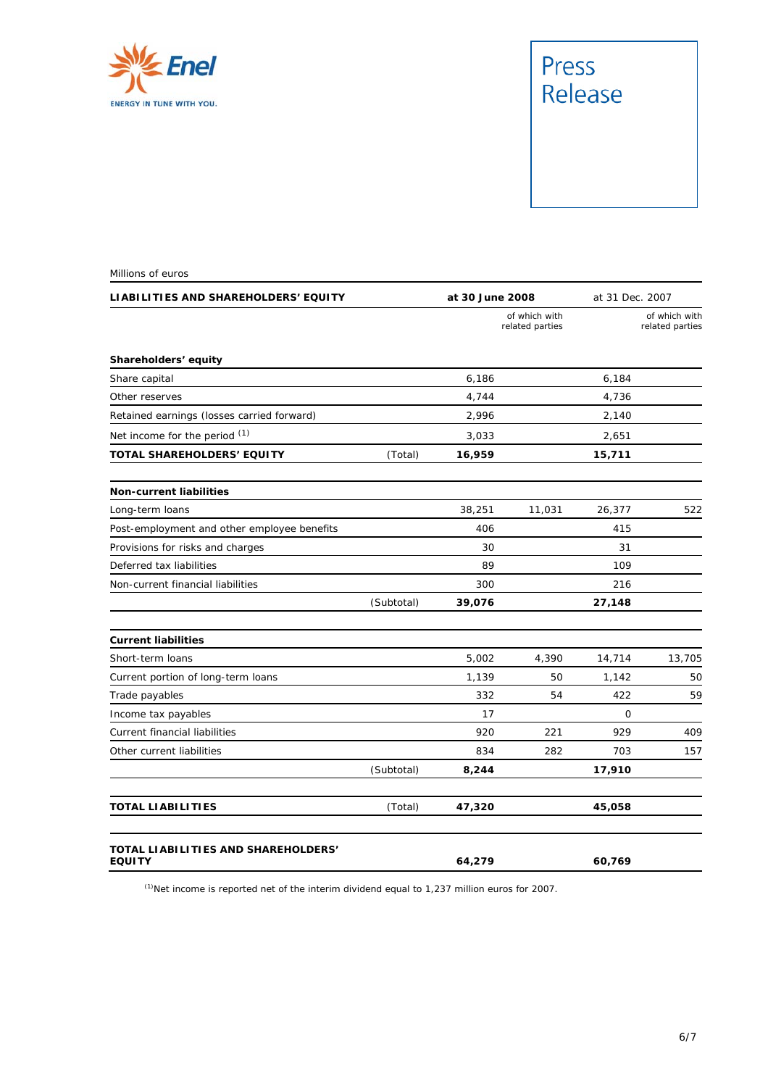

| LIABILITIES AND SHAREHOLDERS' EQUITY                 |            |        | at 30 June 2008                  |        | at 31 Dec. 2007                  |  |
|------------------------------------------------------|------------|--------|----------------------------------|--------|----------------------------------|--|
|                                                      |            |        | of which with<br>related parties |        | of which with<br>related parties |  |
| Shareholders' equity                                 |            |        |                                  |        |                                  |  |
| Share capital                                        |            | 6,186  |                                  | 6,184  |                                  |  |
| Other reserves                                       |            | 4,744  |                                  | 4,736  |                                  |  |
| Retained earnings (losses carried forward)           |            | 2,996  |                                  | 2,140  |                                  |  |
| Net income for the period (1)                        |            | 3,033  |                                  | 2,651  |                                  |  |
| TOTAL SHAREHOLDERS' EQUITY                           | (Total)    | 16,959 |                                  | 15,711 |                                  |  |
| <b>Non-current liabilities</b>                       |            |        |                                  |        |                                  |  |
| Long-term loans                                      |            | 38,251 | 11,031                           | 26,377 | 522                              |  |
| Post-employment and other employee benefits          |            | 406    |                                  | 415    |                                  |  |
| Provisions for risks and charges                     |            | 30     |                                  | 31     |                                  |  |
| Deferred tax liabilities                             |            | 89     |                                  | 109    |                                  |  |
| Non-current financial liabilities                    |            | 300    |                                  | 216    |                                  |  |
|                                                      | (Subtotal) | 39,076 |                                  | 27,148 |                                  |  |
| <b>Current liabilities</b>                           |            |        |                                  |        |                                  |  |
| Short-term loans                                     |            | 5,002  | 4,390                            | 14,714 | 13,705                           |  |
| Current portion of long-term loans                   |            | 1,139  | 50                               | 1,142  | 50                               |  |
| Trade payables                                       |            | 332    | 54                               | 422    | 59                               |  |
| Income tax payables                                  |            | 17     |                                  | 0      |                                  |  |
| Current financial liabilities                        |            | 920    | 221                              | 929    | 409                              |  |
| Other current liabilities                            |            | 834    | 282                              | 703    | 157                              |  |
|                                                      | (Subtotal) | 8,244  |                                  | 17,910 |                                  |  |
| TOTAL LIABILITIES                                    | (Total)    | 47,320 |                                  | 45,058 |                                  |  |
| TOTAL LIABILITIES AND SHAREHOLDERS'<br><b>EQUITY</b> |            | 64,279 |                                  | 60,769 |                                  |  |

 $<sup>(1)</sup>$ Net income is reported net of the interim dividend equal to 1,237 million euros for 2007.</sup>